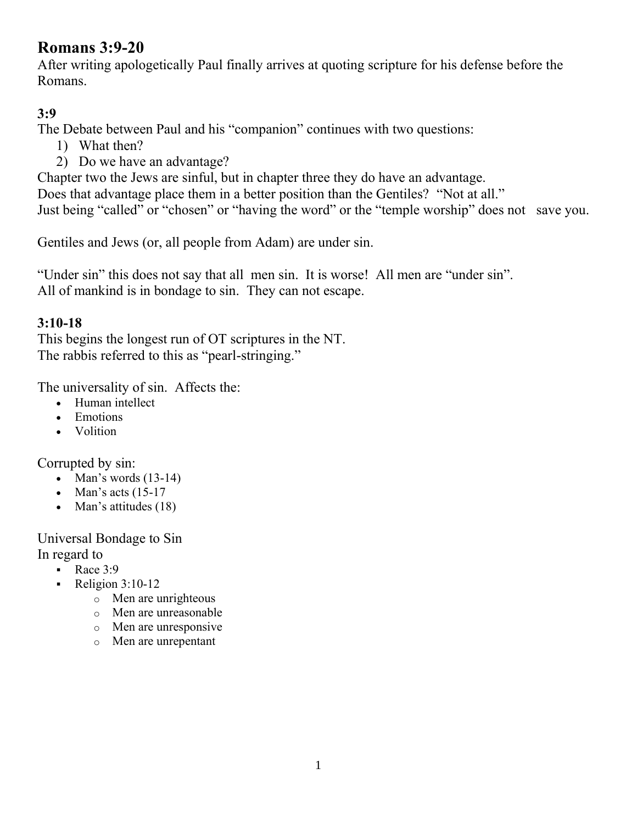# **Romans 3:9-20**

After writing apologetically Paul finally arrives at quoting scripture for his defense before the Romans.

### **3:9**

The Debate between Paul and his "companion" continues with two questions:

- 1) What then?
- 2) Do we have an advantage?

Chapter two the Jews are sinful, but in chapter three they do have an advantage. Does that advantage place them in a better position than the Gentiles? "Not at all." Just being "called" or "chosen" or "having the word" or the "temple worship" does not save you.

Gentiles and Jews (or, all people from Adam) are under sin.

"Under sin" this does not say that all men sin. It is worse! All men are "under sin". All of mankind is in bondage to sin. They can not escape.

### **3:10-18**

This begins the longest run of OT scriptures in the NT. The rabbis referred to this as "pearl-stringing."

The universality of sin. Affects the:

- Human intellect
- Emotions
- Volition

Corrupted by sin:

- $\bullet$  Man's words (13-14)
- $\bullet$  Man's acts (15-17)
- Man's attitudes  $(18)$

Universal Bondage to Sin In regard to

- Race  $3:9$
- Religion  $3:10-12$ 
	- o Men are unrighteous
	- o Men are unreasonable
	- o Men are unresponsive
	- o Men are unrepentant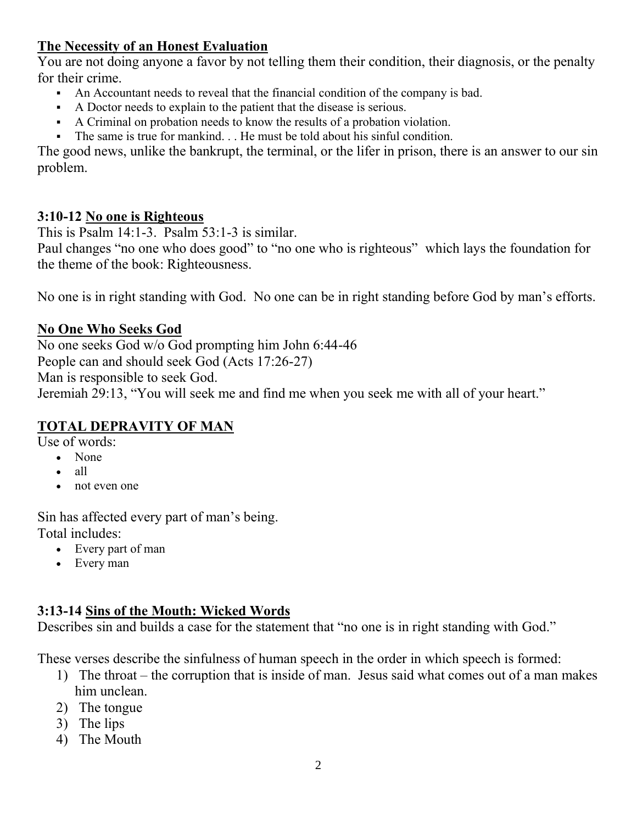### **The Necessity of an Honest Evaluation**

You are not doing anyone a favor by not telling them their condition, their diagnosis, or the penalty for their crime.

- An Accountant needs to reveal that the financial condition of the company is bad.
- A Doctor needs to explain to the patient that the disease is serious.
- A Criminal on probation needs to know the results of a probation violation.
- The same is true for mankind. . . He must be told about his sinful condition.

The good news, unlike the bankrupt, the terminal, or the lifer in prison, there is an answer to our sin problem.

#### **3:10-12 No one is Righteous**

This is  $\overline{Psalm}$  14:1-3. Psalm 53:1-3 is similar.

Paul changes "no one who does good" to "no one who is righteous" which lays the foundation for the theme of the book: Righteousness.

No one is in right standing with God. No one can be in right standing before God by man's efforts.

#### **No One Who Seeks God**

No one seeks God w/o God prompting him John 6:44-46 People can and should seek God (Acts 17:26-27) Man is responsible to seek God. Jeremiah 29:13, "You will seek me and find me when you seek me with all of your heart."

#### **TOTAL DEPRAVITY OF MAN**

Use of words:

- None
- all
- not even one

Sin has affected every part of man's being. Total includes:

- Every part of man
- Every man

#### **3:13-14 Sins of the Mouth: Wicked Words**

Describes sin and builds a case for the statement that "no one is in right standing with God."

These verses describe the sinfulness of human speech in the order in which speech is formed:

- 1) The throat the corruption that is inside of man. Jesus said what comes out of a man makes him unclean.
- 2) The tongue
- 3) The lips
- 4) The Mouth